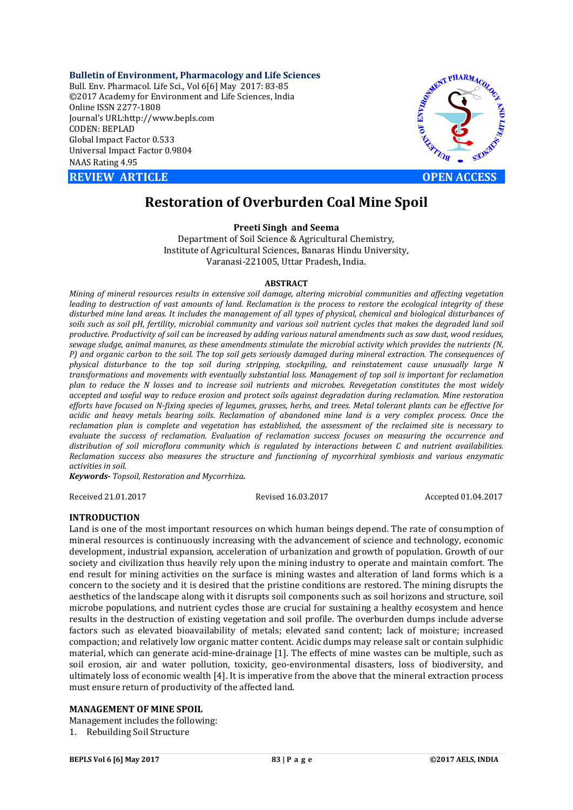**Bulletin of Environment, Pharmacology and Life Sciences** Bull. Env. Pharmacol. Life Sci., Vol 6[6] May 2017: 83-85 ©2017 Academy for Environment and Life Sciences, India Online ISSN 2277-1808 Journal's URL:http://www.bepls.com CODEN: BEPLAD Global Impact Factor 0.533 Universal Impact Factor 0.9804 NAAS Rating 4.95

**REVIEW ARTICLE** *REVIEW ARTICLE* 



**Restoration of Overburden Coal Mine Spoil**

## **Preeti Singh and Seema**

Department of Soil Science & Agricultural Chemistry, Institute of Agricultural Sciences, Banaras Hindu University, Varanasi-221005, Uttar Pradesh, India.

### **ABSTRACT**

*Mining of mineral resources results in extensive soil damage, altering microbial communities and affecting vegetation leading to destruction of vast amounts of land. Reclamation is the process to restore the ecological integrity of these disturbed mine land areas. It includes the management of all types of physical, chemical and biological disturbances of soils such as soil pH, fertility, microbial community and various soil nutrient cycles that makes the degraded land soil productive. Productivity of soil can be increased by adding various natural amendments such as saw dust, wood residues, sewage sludge, animal manures, as these amendments stimulate the microbial activity which provides the nutrients (N, P) and organic carbon to the soil. The top soil gets seriously damaged during mineral extraction. The consequences of physical disturbance to the top soil during stripping, stockpiling, and reinstatement cause unusually large N transformations and movements with eventually substantial loss. Management of top soil is important for reclamation plan to reduce the N losses and to increase soil nutrients and microbes. Revegetation constitutes the most widely accepted and useful way to reduce erosion and protect soils against degradation during reclamation. Mine restoration efforts have focused on N-fixing species of legumes, grasses, herbs, and trees. Metal tolerant plants can be effective for acidic and heavy metals bearing soils. Reclamation of abandoned mine land is a very complex process. Once the reclamation plan is complete and vegetation has established, the assessment of the reclaimed site is necessary to evaluate the success of reclamation. Evaluation of reclamation success focuses on measuring the occurrence and distribution of soil microflora community which is regulated by interactions between C and nutrient availabilities. Reclamation success also measures the structure and functioning of mycorrhizal symbiosis and various enzymatic activities in soil.* 

*Keywords- Topsoil, Restoration and Mycorrhiza.*

Received 21.01.2017 Revised 16.03.2017 Accepted 01.04.2017

### **INTRODUCTION**

Land is one of the most important resources on which human beings depend. The rate of consumption of mineral resources is continuously increasing with the advancement of science and technology, economic development, industrial expansion, acceleration of urbanization and growth of population. Growth of our society and civilization thus heavily rely upon the mining industry to operate and maintain comfort. The end result for mining activities on the surface is mining wastes and alteration of land forms which is a concern to the society and it is desired that the pristine conditions are restored. The mining disrupts the aesthetics of the landscape along with it disrupts soil components such as soil horizons and structure, soil microbe populations, and nutrient cycles those are crucial for sustaining a healthy ecosystem and hence results in the destruction of existing vegetation and soil profile. The overburden dumps include adverse factors such as elevated bioavailability of metals; elevated sand content; lack of moisture; increased compaction; and relatively low organic matter content. Acidic dumps may release salt or contain sulphidic material, which can generate acid-mine-drainage [1]. The effects of mine wastes can be multiple, such as soil erosion, air and water pollution, toxicity, geo-environmental disasters, loss of biodiversity, and ultimately loss of economic wealth [4]. It is imperative from the above that the mineral extraction process must ensure return of productivity of the affected land.

### **MANAGEMENT OF MINE SPOIL**

Management includes the following:

1. Rebuilding Soil Structure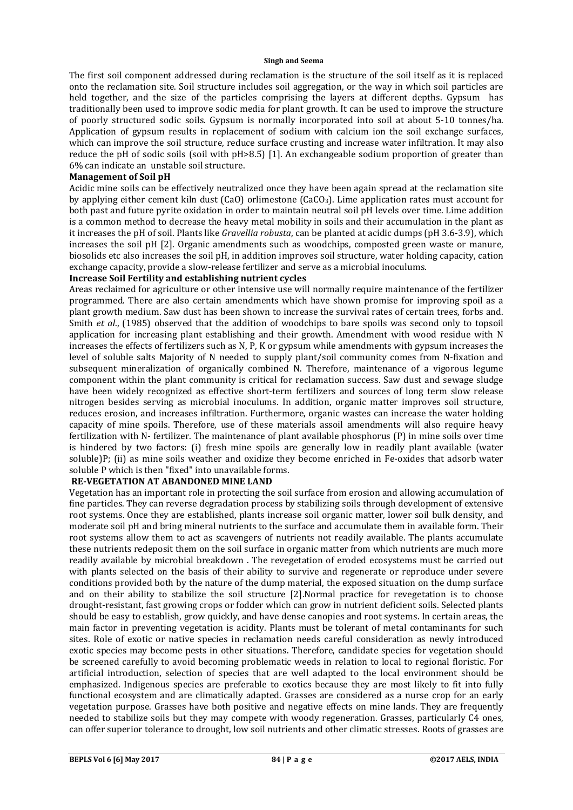#### **Singh and Seema**

The first soil component addressed during reclamation is the structure of the soil itself as it is replaced onto the reclamation site. Soil structure includes soil aggregation, or the way in which soil particles are held together, and the size of the particles comprising the layers at different depths. Gypsum has traditionally been used to improve sodic media for plant growth. It can be used to improve the structure of poorly structured sodic soils. Gypsum is normally incorporated into soil at about 5-10 tonnes/ha. Application of gypsum results in replacement of sodium with calcium ion the soil exchange surfaces, which can improve the soil structure, reduce surface crusting and increase water infiltration. It may also reduce the pH of sodic soils (soil with pH>8.5) [1]. An exchangeable sodium proportion of greater than 6% can indicate an unstable soil structure.

## **Management of Soil pH**

Acidic mine soils can be effectively neutralized once they have been again spread at the reclamation site by applying either cement kiln dust (CaO) orlimestone (CaCO3). Lime application rates must account for both past and future pyrite oxidation in order to maintain neutral soil pH levels over time. Lime addition is a common method to decrease the heavy metal mobility in soils and their accumulation in the plant as it increases the pH of soil. Plants like *Gravellia robusta*, can be planted at acidic dumps (pH 3.6-3.9), which increases the soil pH [2]. Organic amendments such as woodchips, composted green waste or manure, biosolids etc also increases the soil pH, in addition improves soil structure, water holding capacity, cation exchange capacity, provide a slow-release fertilizer and serve as a microbial inoculums.

## **Increase Soil Fertility and establishing nutrient cycles**

Areas reclaimed for agriculture or other intensive use will normally require maintenance of the fertilizer programmed. There are also certain amendments which have shown promise for improving spoil as a plant growth medium. Saw dust has been shown to increase the survival rates of certain trees, forbs and. Smith *et al*., (1985) observed that the addition of woodchips to bare spoils was second only to topsoil application for increasing plant establishing and their growth. Amendment with wood residue with N increases the effects of fertilizers such as N, P, K or gypsum while amendments with gypsum increases the level of soluble salts Majority of N needed to supply plant/soil community comes from N-fixation and subsequent mineralization of organically combined N. Therefore, maintenance of a vigorous legume component within the plant community is critical for reclamation success. Saw dust and sewage sludge have been widely recognized as effective short-term fertilizers and sources of long term slow release nitrogen besides serving as microbial inoculums. In addition, organic matter improves soil structure, reduces erosion, and increases infiltration. Furthermore, organic wastes can increase the water holding capacity of mine spoils. Therefore, use of these materials assoil amendments will also require heavy fertilization with N- fertilizer. The maintenance of plant available phosphorus (P) in mine soils over time is hindered by two factors: (i) fresh mine spoils are generally low in readily plant available (water soluble)P; (ii) as mine soils weather and oxidize they become enriched in Fe-oxides that adsorb water soluble P which is then "fixed" into unavailable forms.

# **RE-VEGETATION AT ABANDONED MINE LAND**

Vegetation has an important role in protecting the soil surface from erosion and allowing accumulation of fine particles. They can reverse degradation process by stabilizing soils through development of extensive root systems. Once they are established, plants increase soil organic matter, lower soil bulk density, and moderate soil pH and bring mineral nutrients to the surface and accumulate them in available form. Their root systems allow them to act as scavengers of nutrients not readily available. The plants accumulate these nutrients redeposit them on the soil surface in organic matter from which nutrients are much more readily available by microbial breakdown . The revegetation of eroded ecosystems must be carried out with plants selected on the basis of their ability to survive and regenerate or reproduce under severe conditions provided both by the nature of the dump material, the exposed situation on the dump surface and on their ability to stabilize the soil structure [2].Normal practice for revegetation is to choose drought-resistant, fast growing crops or fodder which can grow in nutrient deficient soils. Selected plants should be easy to establish, grow quickly, and have dense canopies and root systems. In certain areas, the main factor in preventing vegetation is acidity. Plants must be tolerant of metal contaminants for such sites. Role of exotic or native species in reclamation needs careful consideration as newly introduced exotic species may become pests in other situations. Therefore, candidate species for vegetation should be screened carefully to avoid becoming problematic weeds in relation to local to regional floristic. For artificial introduction, selection of species that are well adapted to the local environment should be emphasized. Indigenous species are preferable to exotics because they are most likely to fit into fully functional ecosystem and are climatically adapted. Grasses are considered as a nurse crop for an early vegetation purpose. Grasses have both positive and negative effects on mine lands. They are frequently needed to stabilize soils but they may compete with woody regeneration. Grasses, particularly C4 ones, can offer superior tolerance to drought, low soil nutrients and other climatic stresses. Roots of grasses are